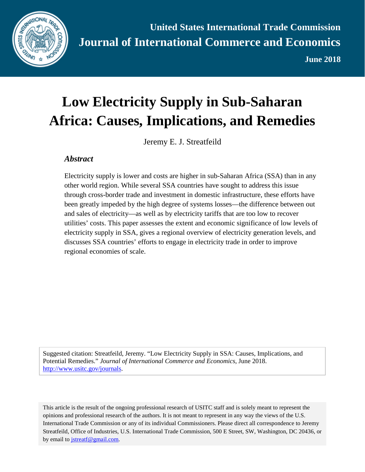

**June 2018**

# **Low Electricity Supply in Sub-Saharan Africa: Causes, Implications, and Remedies**

Jeremy E. J. Streatfeild

#### *Abstract*

Electricity supply is lower and costs are higher in sub-Saharan Africa (SSA) than in any other world region. While several SSA countries have sought to address this issue through cross-border trade and investment in domestic infrastructure, these efforts have been greatly impeded by the high degree of systems losses—the difference between out and sales of electricity—as well as by electricity tariffs that are too low to recover utilities' costs. This paper assesses the extent and economic significance of low levels of electricity supply in SSA, gives a regional overview of electricity generation levels, and discusses SSA countries' efforts to engage in electricity trade in order to improve regional economies of scale.

Suggested citation: Streatfeild, Jeremy. "Low Electricity Supply in SSA: Causes, Implications, and Potential Remedies." *Journal of International Commerce and Economics*, June 2018. [http://www.usitc.gov/journals.](http://www.usitc.gov/journals)

This article is the result of the ongoing professional research of USITC staff and is solely meant to represent the opinions and professional research of the authors. It is not meant to represent in any way the views of the U.S. International Trade Commission or any of its individual Commissioners. Please direct all correspondence to Jeremy Streatfeild, Office of Industries, U.S. International Trade Commission, 500 E Street, SW, Washington, DC 20436, or by email to [jstreatf@gmail.com.](mailto:jstreatf@gmail.com)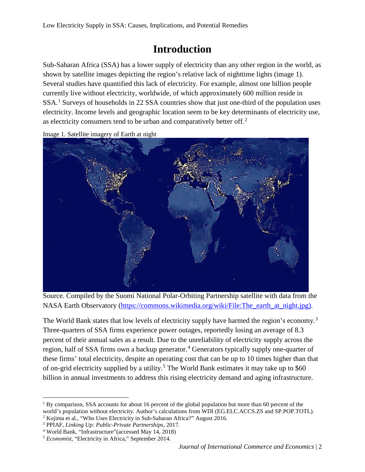#### **Introduction**

Sub-Saharan Africa (SSA) has a lower supply of electricity than any other region in the world, as shown by satellite images depicting the region's relative lack of nighttime lights (image 1). Several studies have quantified this lack of electricity. For example, almost one billion people currently live without electricity, worldwide, of which approximately 600 million reside in SSA.<sup>[1](#page-1-0)</sup> Surveys of households in 22 SSA countries show that just one-third of the population uses electricity. Income levels and geographic location seem to be key determinants of electricity use, as electricity consumers tend to be urban and comparatively better off.<sup>[2](#page-1-1)</sup>



Image 1. Satellite imagery of Earth at night

Source. Compiled by the Suomi National Polar-Orbiting Partnership satellite with data from the NASA Earth Observatory [\(https://commons.wikimedia.org/wiki/File:The\\_earth\\_at\\_night.jpg\)](https://commons.wikimedia.org/wiki/File:The_earth_at_night.jpg).

The World Bank states that low levels of electricity supply have harmed the region's economy.<sup>[3](#page-1-2)</sup> Three-quarters of SSA firms experience power outages, reportedly losing an average of 8.3 percent of their annual sales as a result. Due to the unreliability of electricity supply across the region, half of SSA firms own a backup generator.<sup>[4](#page-1-3)</sup> Generators typically supply one-quarter of these firms' total electricity, despite an operating cost that can be up to 10 times higher than that of on-grid electricity supplied by a utility.<sup>[5](#page-1-4)</sup> The World Bank estimates it may take up to \$60 billion in annual investments to address this rising electricity demand and aging infrastructure.

<span id="page-1-0"></span> $1$  By comparison, SSA accounts for about 16 percent of the global population but more than 60 percent of the world's population without electricity. Author's calculations from WDI (EG.ELC.ACCS.ZS and SP.POP.TOTL).

<span id="page-1-1"></span><sup>2</sup> Kojima et al., "Who Uses Electricity in Sub-Saharan Africa?" August 2016.

<span id="page-1-2"></span><sup>3</sup> PPIAF, *Linking Up: Public-Private Partnerships*, 2017.

<span id="page-1-3"></span><sup>4</sup> World Bank, "Infrastructure"(accessed May 14, 2018)

<span id="page-1-4"></span><sup>5</sup> *Economist*, "Electricity in Africa," September 2014.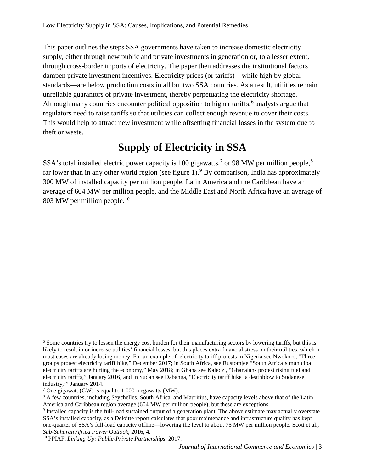This paper outlines the steps SSA governments have taken to increase domestic electricity supply, either through new public and private investments in generation or, to a lesser extent, through cross-border imports of electricity. The paper then addresses the institutional factors dampen private investment incentives. Electricity prices (or tariffs)—while high by global standards—are below production costs in all but two SSA countries. As a result, utilities remain unreliable guarantors of private investment, thereby perpetuating the electricity shortage. Although many countries encounter political opposition to higher tariffs,  $6$  analysts argue that regulators need to raise tariffs so that utilities can collect enough revenue to cover their costs. This would help to attract new investment while offsetting financial losses in the system due to theft or waste.

#### **Supply of Electricity in SSA**

SSA's total installed electric power capacity is 100 gigawatts,<sup>[7](#page-2-1)</sup> or 9[8](#page-2-2) MW per million people,<sup>8</sup> far lower than in any other world region (see figure 1).<sup>[9](#page-2-3)</sup> By comparison, India has approximately 300 MW of installed capacity per million people, Latin America and the Caribbean have an average of 604 MW per million people, and the Middle East and North Africa have an average of 803 MW per million people.<sup>[10](#page-2-4)</sup>

<span id="page-2-0"></span> $6$  Some countries try to lessen the energy cost burden for their manufacturing sectors by lowering tariffs, but this is likely to result in or increase utilities' financial losses. but this places extra financial stress on their utilities, which in most cases are already losing money. For an example of electricity tariff protests in Nigeria see Nwokoro, "Three groups protest electricity tariff hike," December 2017; in South Africa, see Rustomjee "South Africa's municipal electricity tariffs are hurting the economy," May 2018; in Ghana see Kaledzi, "Ghanaians protest rising fuel and electricity tariffs," January 2016; and in Sudan see Dabanga, "Electricity tariff hike 'a deathblow to Sudanese industry,'" January 2014.

<span id="page-2-1"></span><sup>&</sup>lt;sup>7</sup> One gigawatt (GW) is equal to 1,000 megawatts (MW).

<span id="page-2-2"></span><sup>&</sup>lt;sup>8</sup> A few countries, including Seychelles, South Africa, and Mauritius, have capacity levels above that of the Latin America and Caribbean region average (604 MW per million people), but these are exceptions.

<span id="page-2-3"></span><sup>9</sup> Installed capacity is the full-load sustained output of a generation plant. The above estimate may actually overstate SSA's installed capacity, as a Deloitte report calculates that poor maintenance and infrastructure quality has kept one-quarter of SSA's full-load capacity offline—lowering the level to about 75 MW per million people. Scott et al., *Sub-Saharan Africa Power Outlook*, 2016, 4.

<span id="page-2-4"></span><sup>10</sup> PPIAF, *Linking Up: Public-Private Partnerships*, 2017.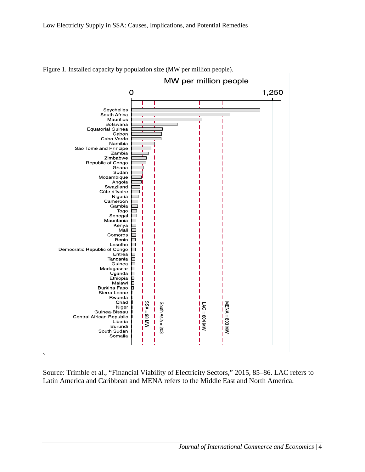

Figure 1. Installed capacity by population size (MW per million people).

Source: Trimble et al., "Financial Viability of Electricity Sectors," 2015, 85–86. LAC refers to Latin America and Caribbean and MENA refers to the Middle East and North America.

`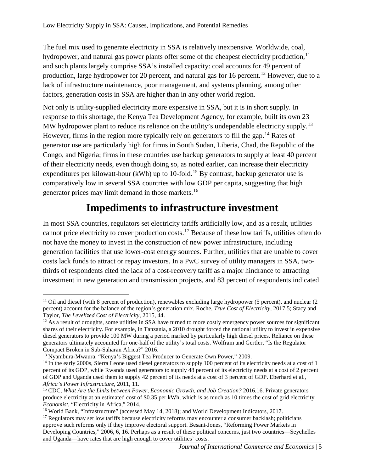The fuel mix used to generate electricity in SSA is relatively inexpensive. Worldwide, coal, hydropower, and natural gas power plants offer some of the cheapest electricity production,  $11$ and such plants largely comprise SSA's installed capacity: coal accounts for 49 percent of production, large hydropower for 20 percent, and natural gas for 16 percent.<sup>[12](#page-4-1)</sup> However, due to a lack of infrastructure maintenance, poor management, and systems planning, among other factors, generation costs in SSA are higher than in any other world region.

Not only is utility-supplied electricity more expensive in SSA, but it is in short supply. In response to this shortage, the Kenya Tea Development Agency, for example, built its own 23 MW hydropower plant to reduce its reliance on the utility's undependable electricity supply.<sup>[13](#page-4-2)</sup> However, firms in the region more typically rely on generators to fill the gap.<sup>[14](#page-4-3)</sup> Rates of generator use are particularly high for firms in South Sudan, Liberia, Chad, the Republic of the Congo, and Nigeria; firms in these countries use backup generators to supply at least 40 percent of their electricity needs, even though doing so, as noted earlier, can increase their electricity expenditures per kilowatt-hour (kWh) up to 10-fold.<sup>[15](#page-4-4)</sup> By contrast, backup generator use is comparatively low in several SSA countries with low GDP per capita, suggesting that high generator prices may limit demand in those markets.[16](#page-4-5)

#### **Impediments to infrastructure investment**

In most SSA countries, regulators set electricity tariffs artificially low, and as a result, utilities cannot price electricity to cover production costs.[17](#page-4-6) Because of these low tariffs, utilities often do not have the money to invest in the construction of new power infrastructure, including generation facilities that use lower-cost energy sources. Further, utilities that are unable to cover costs lack funds to attract or repay investors. In a PwC survey of utility managers in SSA, twothirds of respondents cited the lack of a cost-recovery tariff as a major hindrance to attracting investment in new generation and transmission projects, and 83 percent of respondents indicated

<span id="page-4-0"></span> $11$  Oil and diesel (with 8 percent of production), renewables excluding large hydropower (5 percent), and nuclear (2 percent) account for the balance of the region's generation mix. Roche, *True Cost of Electricity*, 2017 5; Stacy and Taylor, *The Levelized Cost of Electricity*, 2015, 44.

<span id="page-4-1"></span> $12$  As a result of droughts, some utilities in SSA have turned to more costly emergency power sources for significant shares of their electricity. For example, in Tanzania, a 2010 drought forced the national utility to invest in expensive diesel generators to provide 100 MW during a period marked by particularly high diesel prices. Reliance on these generators ultimately accounted for one-half of the utility's total costs. Wolfram and Gertler, "Is the Regulator Compact Broken in Sub-Saharan Africa?" 2016.

<span id="page-4-2"></span><sup>&</sup>lt;sup>13</sup> Nyambura-Mwaura, "Kenya's Biggest Tea Producer to Generate Own Power," 2009.

<span id="page-4-3"></span> $14$  In the early 2000s, Sierra Leone used diesel generators to supply 100 percent of its electricity needs at a cost of 1 percent of its GDP, while Rwanda used generators to supply 48 percent of its electricity needs at a cost of 2 percent of GDP and Uganda used them to supply 42 percent of its needs at a cost of 3 percent of GDP. Eberhard et al., *Africa's Power Infrastructure*, 2011, 11.

<span id="page-4-4"></span><sup>15</sup> CDC, *What Are the Links between Power, Economic Growth, and Job Creation?* 2016,16. Private generators produce electricity at an estimated cost of \$0.35 per kWh, which is as much as 10 times the cost of grid electricity. *Economist*, "Electricity in Africa," 2014.

<span id="page-4-5"></span><sup>&</sup>lt;sup>16</sup> World Bank, "Infrastructure" (accessed May 14, 2018); and World Development Indicators, 2017.

<span id="page-4-6"></span> $17$  Regulators may set low tariffs because electricity reforms may encounter a consumer backlash; politicians approve such reforms only if they improve electoral support. Besant-Jones, "Reforming Power Markets in Developing Countries," 2006, 6, 16. Perhaps as a result of these political concerns, just two countries—Seychelles and Uganda—have rates that are high enough to cover utilities' costs.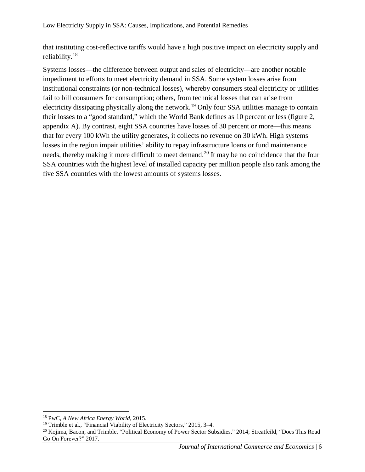that instituting cost-reflective tariffs would have a high positive impact on electricity supply and reliability.[18](#page-5-0)

Systems losses—the difference between output and sales of electricity—are another notable impediment to efforts to meet electricity demand in SSA. Some system losses arise from institutional constraints (or non-technical losses), whereby consumers steal electricity or utilities fail to bill consumers for consumption; others, from technical losses that can arise from electricity dissipating physically along the network.<sup>[19](#page-5-1)</sup> Only four SSA utilities manage to contain their losses to a "good standard," which the World Bank defines as 10 percent or less (figure 2, appendix A). By contrast, eight SSA countries have losses of 30 percent or more—this means that for every 100 kWh the utility generates, it collects no revenue on 30 kWh. High systems losses in the region impair utilities' ability to repay infrastructure loans or fund maintenance needs, thereby making it more difficult to meet demand.<sup>[20](#page-5-2)</sup> It may be no coincidence that the four SSA countries with the highest level of installed capacity per million people also rank among the five SSA countries with the lowest amounts of systems losses.

<span id="page-5-0"></span> <sup>18</sup> PwC, *A New Africa Energy World*, 2015.

<span id="page-5-1"></span><sup>&</sup>lt;sup>19</sup> Trimble et al., "Financial Viability of Electricity Sectors," 2015, 3–4.

<span id="page-5-2"></span><sup>&</sup>lt;sup>20</sup> Kojima, Bacon, and Trimble, "Political Economy of Power Sector Subsidies," 2014; Streatfeild, "Does This Road Go On Forever?" 2017.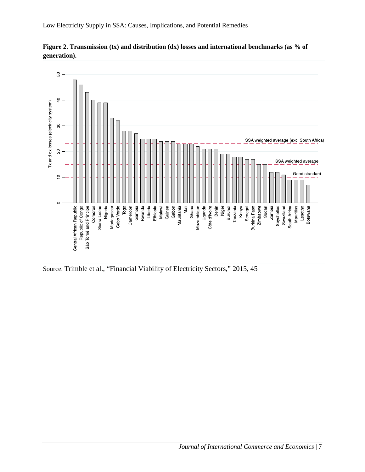

**Figure 2. Transmission (tx) and distribution (dx) losses and international benchmarks (as % of** 

Low Electricity Supply in SSA: Causes, Implications, and Potential Remedies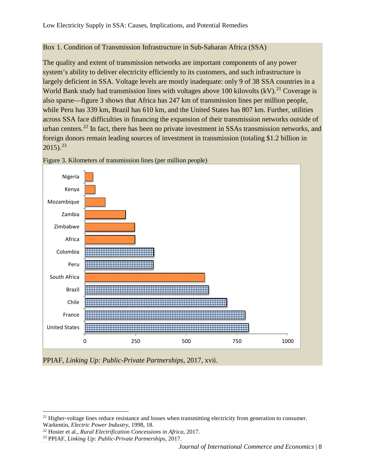#### Box 1. Condition of Transmission Infrastructure in Sub-Saharan Africa (SSA)

The quality and extent of transmission networks are important components of any power system's ability to deliver electricity efficiently to its customers, and such infrastructure is largely deficient in SSA. Voltage levels are mostly inadequate: only 9 of 38 SSA countries in a World Bank study had transmission lines with voltages above 100 kilovolts  $(kV)$ .<sup>[21](#page-7-0)</sup> Coverage is also sparse—figure 3 shows that Africa has 247 km of transmission lines per million people, while Peru has 339 km, Brazil has 610 km, and the United States has 807 km. Further, utilities across SSA face difficulties in financing the expansion of their transmission networks outside of urban centers.[22](#page-7-1) In fact, there has been no private investment in SSAs transmission networks, and foreign donors remain leading sources of investment in transmission (totaling \$1.2 billion in  $2015$ ).<sup>[23](#page-7-2)</sup>



Figure 3. Kilometers of transmission lines (per million people)

PPIAF, *Linking Up: Public-Private Partnerships*, 2017, xvii.

<span id="page-7-0"></span><sup>&</sup>lt;sup>21</sup> Higher-voltage lines reduce resistance and losses when transmitting electricity from generation to consumer. Warkentin, *Electric Power Industry*, 1998, 18.

<span id="page-7-1"></span><sup>&</sup>lt;sup>22</sup> Hosier et al., *Rural Electrification Concessions in Africa*, 2017.

<span id="page-7-2"></span><sup>23</sup> PPIAF, *Linking Up: Public-Private Partnerships*, 2017.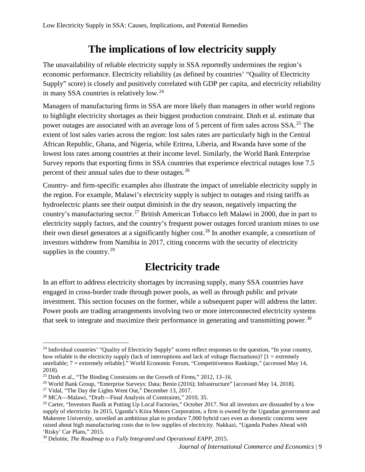### **The implications of low electricity supply**

The unavailability of reliable electricity supply in SSA reportedly undermines the region's economic performance. Electricity reliability (as defined by countries' "Quality of Electricity Supply" score) is closely and positively correlated with GDP per capita, and electricity reliability in many SSA countries is relatively low.[24](#page-8-0)

Managers of manufacturing firms in SSA are more likely than managers in other world regions to highlight electricity shortages as their biggest production constraint. Dinh et al. estimate that power outages are associated with an average loss of 5 percent of firm sales across  $SSA$ <sup>[25](#page-8-1)</sup>. The extent of lost sales varies across the region: lost sales rates are particularly high in the Central African Republic, Ghana, and Nigeria, while Eritrea, Liberia, and Rwanda have some of the lowest loss rates among countries at their income level. Similarly, the World Bank Enterprise Survey reports that exporting firms in SSA countries that experience electrical outages lose 7.5 percent of their annual sales due to these outages.[26](#page-8-2)

Country- and firm-specific examples also illustrate the impact of unreliable electricity supply in the region. For example, Malawi's electricity supply is subject to outages and rising tariffs as hydroelectric plants see their output diminish in the dry season, negatively impacting the country's manufacturing sector.<sup>[27](#page-8-3)</sup> British American Tobacco left Malawi in 2000, due in part to electricity supply factors, and the country's frequent power outages forced uranium mines to use their own diesel generators at a significantly higher cost.[28](#page-8-4) In another example, a consortium of investors withdrew from Namibia in 2017, citing concerns with the security of electricity supplies in the country.<sup>[29](#page-8-5)</sup>

### **Electricity trade**

In an effort to address electricity shortages by increasing supply, many SSA countries have engaged in cross-border trade through power pools, as well as through public and private investment. This section focuses on the former, while a subsequent paper will address the latter. Power pools are trading arrangements involving two or more interconnected electricity systems that seek to integrate and maximize their performance in generating and transmitting power.<sup>[30](#page-8-6)</sup>

<span id="page-8-0"></span><sup>&</sup>lt;sup>24</sup> Individual countries' "Quality of Electricity Supply" scores reflect responses to the question, "In your country, how reliable is the electricity supply (lack of interruptions and lack of voltage fluctuations)? [1 = extremely unreliable; 7 = extremely reliable]." World Economic Forum, "Competitiveness Rankings," (accessed May 14, 2018).

<span id="page-8-1"></span><sup>&</sup>lt;sup>25</sup> Dinh et al., "The Binding Constraints on the Growth of Firms," 2012, 13–16.

<span id="page-8-2"></span><sup>&</sup>lt;sup>26</sup> World Bank Group, "Enterprise Surveys: Data; Benin (2016); Infrastructure" [accessed May 14, 2018]. <sup>27</sup> Vidal, "The Day the Lights Went Out," December 13, 2017.

<span id="page-8-4"></span><span id="page-8-3"></span><sup>28</sup> MCA—Malawi, "Draft—Final Analysis of Constraints," 2010, 35.

<span id="page-8-5"></span> $^{29}$  Carter, "Investors Baulk at Putting Up Local Factories," October 2017. Not all investors are dissuaded by a low supply of electricity. In 2015, Uganda's Kiira Motors Corporation, a firm is owned by the Ugandan government and Makerere University, unveiled an ambitious plan to produce 7,000 hybrid cars even as domestic concerns were raised about high manufacturing costs due to low supplies of electricity. Nakkazi, "Uganda Pushes Ahead with 'Risky' Car Plans," 2015. 30 Deloitte, *The Roadmap to a Fully Integrated and Operational EAPP*, 2015.

<span id="page-8-6"></span>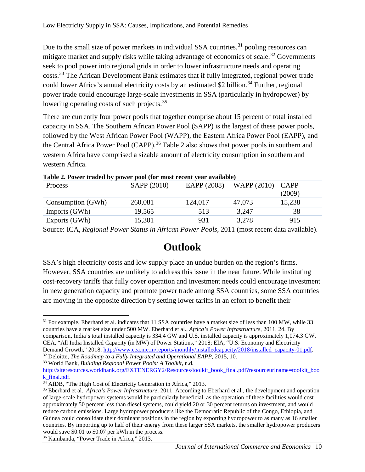Due to the small size of power markets in individual SSA countries,<sup>[31](#page-9-0)</sup> pooling resources can mitigate market and supply risks while taking advantage of economies of scale.<sup>[32](#page-9-1)</sup> Governments seek to pool power into regional grids in order to lower infrastructure needs and operating costs.[33](#page-9-2) The African Development Bank estimates that if fully integrated, regional power trade could lower Africa's annual electricity costs by an estimated \$2 billion.<sup>[34](#page-9-3)</sup> Further, regional power trade could encourage large-scale investments in SSA (particularly in hydropower) by lowering operating costs of such projects.<sup>[35](#page-9-4)</sup>

There are currently four power pools that together comprise about 15 percent of total installed capacity in SSA. The Southern African Power Pool (SAPP) is the largest of these power pools, followed by the West African Power Pool (WAPP), the Eastern Africa Power Pool (EAPP), and the Central Africa Power Pool (CAPP).<sup>[36](#page-9-5)</sup> Table 2 also shows that power pools in southern and western Africa have comprised a sizable amount of electricity consumption in southern and western Africa.

| <b>Process</b>    | SAPP (2010) | EAPP (2008) | WAPP $(2010)$ CAPP |        |
|-------------------|-------------|-------------|--------------------|--------|
|                   |             |             |                    | (2009) |
| Consumption (GWh) | 260,081     | 124,017     | 47,073             | 15,238 |
| Imports (GWh)     | 19,565      | 513         | 3,247              | 38     |
| Exports (GWh)     | 15,301      | 931         | 3,278              | 915    |

**Table 2. Power traded by power pool (for most recent year available)**

Source: ICA, *Regional Power Status in African Power Pools*, 2011 (most recent data available).

#### **Outlook**

SSA's high electricity costs and low supply place an undue burden on the region's firms. However, SSA countries are unlikely to address this issue in the near future. While instituting cost-recovery tariffs that fully cover operation and investment needs could encourage investment in new generation capacity and promote power trade among SSA countries, some SSA countries are moving in the opposite direction by setting lower tariffs in an effort to benefit their

<span id="page-9-2"></span><span id="page-9-1"></span><sup>33</sup> World Bank, *Building Regional Power Pools: A Toolkit*, n.d.

<span id="page-9-0"></span> $31$  For example, Eberhard et al. indicates that 11 SSA countries have a market size of less than 100 MW, while 33 countries have a market size under 500 MW. Eberhard et al., *Africa's Power Infrastructure*, 2011, 24. By comparison, India's total installed capacity is 334.4 GW and U.S. installed capacity is approximately 1,074.3 GW. CEA, "All India Installed Capacity (in MW) of Power Stations," 2018; EIA, "U.S. Economy and Electricity

Demand Growth," 2018. [http://www.cea.nic.in/reports/monthly/installedcapacity/2018/installed\\_capacity-01.pdf.](http://www.cea.nic.in/reports/monthly/installedcapacity/2018/installed_capacity-01.pdf) 32 Deloitte, *The Roadmap to a Fully Integrated and Operational EAPP*, 2015, 10.

[http://siteresources.worldbank.org/EXTENERGY2/Resources/toolkit\\_book\\_final.pdf?resourceurlname=toolkit\\_boo](http://siteresources.worldbank.org/EXTENERGY2/Resources/toolkit_book_final.pdf?resourceurlname=toolkit_book_final.pdf) [k\\_final.pdf.](http://siteresources.worldbank.org/EXTENERGY2/Resources/toolkit_book_final.pdf?resourceurlname=toolkit_book_final.pdf)

<span id="page-9-3"></span><sup>&</sup>lt;sup>34</sup> AfDB, "The High Cost of Electricity Generation in Africa," 2013.

<span id="page-9-4"></span><sup>35</sup> Eberhard et al., *Africa's Power Infrastructure*, 2011. According to Eberhard et al., the development and operation of large-scale hydropower systems would be particularly beneficial, as the operation of these facilities would cost approximately 50 percent less than diesel systems, could yield 20 or 30 percent returns on investment, and would reduce carbon emissions. Large hydropower producers like the Democratic Republic of the Congo, Ethiopia, and Guinea could consolidate their dominant positions in the region by exporting hydropower to as many as 16 smaller countries. By importing up to half of their energy from these larger SSA markets, the smaller hydropower producers would save \$0.01 to \$0.07 per kWh in the process. 36 Kambanda, "Power Trade in Africa," 2013.

<span id="page-9-5"></span>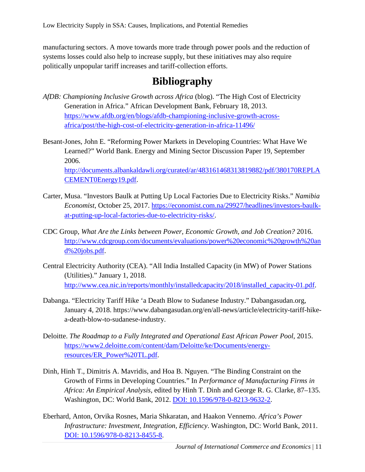manufacturing sectors. A move towards more trade through power pools and the reduction of systems losses could also help to increase supply, but these initiatives may also require politically unpopular tariff increases and tariff-collection efforts.

#### **Bibliography**

- *AfDB: Championing Inclusive Growth across Africa* (blog). "The High Cost of Electricity Generation in Africa." African Development Bank, February 18, 2013. [https://www.afdb.org/en/blogs/afdb-championing-inclusive-growth-across](https://www.afdb.org/en/blogs/afdb-championing-inclusive-growth-across-africa/post/the-high-cost-of-electricity-generation-in-africa-11496/)[africa/post/the-high-cost-of-electricity-generation-in-africa-11496/](https://www.afdb.org/en/blogs/afdb-championing-inclusive-growth-across-africa/post/the-high-cost-of-electricity-generation-in-africa-11496/)
- Besant-Jones, John E. "Reforming Power Markets in Developing Countries: What Have We Learned?" World Bank. Energy and Mining Sector Discussion Paper 19, September 2006. [http://documents.albankaldawli.org/curated/ar/483161468313819882/pdf/380170REPLA](http://documents.albankaldawli.org/curated/ar/483161468313819882/pdf/380170REPLACEMENT0Energy19.pdf)

[CEMENT0Energy19.pdf.](http://documents.albankaldawli.org/curated/ar/483161468313819882/pdf/380170REPLACEMENT0Energy19.pdf)

- Carter, Musa. "Investors Baulk at Putting Up Local Factories Due to Electricity Risks." *Namibia Economist*, October 25, 2017. [https://economist.com.na/29927/headlines/investors-baulk](https://economist.com.na/29927/headlines/investors-baulk-at-putting-up-local-factories-due-to-electricity-risks/)[at-putting-up-local-factories-due-to-electricity-risks/.](https://economist.com.na/29927/headlines/investors-baulk-at-putting-up-local-factories-due-to-electricity-risks/)
- CDC Group, *What Are the Links between Power, Economic Growth, and Job Creation?* 2016. [http://www.cdcgroup.com/documents/evaluations/power%20economic%20growth%20an](http://www.cdcgroup.com/documents/evaluations/power%20economic%20growth%20and%20jobs.pdf) [d%20jobs.pdf.](http://www.cdcgroup.com/documents/evaluations/power%20economic%20growth%20and%20jobs.pdf)
- Central Electricity Authority (CEA). "All India Installed Capacity (in MW) of Power Stations (Utilities)." January 1, 2018. [http://www.cea.nic.in/reports/monthly/installedcapacity/2018/installed\\_capacity-01.pdf.](http://www.cea.nic.in/reports/monthly/installedcapacity/2018/installed_capacity-01.pdf)
- Dabanga. "Electricity Tariff Hike 'a Death Blow to Sudanese Industry." Dabangasudan.org, January 4, 2018. https://www.dabangasudan.org/en/all-news/article/electricity-tariff-hikea-death-blow-to-sudanese-industry.
- Deloitte. *The Roadmap to a Fully Integrated and Operational East African Power Pool*, 2015. [https://www2.deloitte.com/content/dam/Deloitte/ke/Documents/energy](https://www2.deloitte.com/content/dam/Deloitte/ke/Documents/energy-resources/ER_Power%20TL.pdf)[resources/ER\\_Power%20TL.pdf.](https://www2.deloitte.com/content/dam/Deloitte/ke/Documents/energy-resources/ER_Power%20TL.pdf)
- Dinh, Hinh T., Dimitris A. Mavridis, and Hoa B. Nguyen. "The Binding Constraint on the Growth of Firms in Developing Countries." In *Performance of Manufacturing Firms in Africa: An Empirical Analysis*, edited by Hinh T. Dinh and George R. G. Clarke, 87–135. Washington, DC: World Bank, 2012. [DOI: 10.1596/978-0-8213-9632-2.](doi:%2010.1596/978-0-8213-9632-2)
- Eberhard, Anton, Orvika Rosnes, Maria Shkaratan, and Haakon Vennemo. *Africa's Power Infrastructure: Investment, Integration, Efficiency*. Washington, DC: World Bank, 2011. [DOI: 10.1596/978-0-8213-8455-8.](doi:%2010.1596/978-0-8213-8455-8)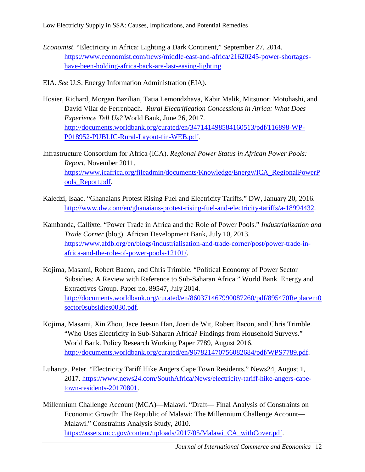Low Electricity Supply in SSA: Causes, Implications, and Potential Remedies

- *Economist*. "Electricity in Africa: Lighting a Dark Continent," September 27, 2014. [https://www.economist.com/news/middle-east-and-africa/21620245-power-shortages](https://www.economist.com/news/middle-east-and-africa/21620245-power-shortages-have-been-holding-africa-back-are-last-easing-lighting)[have-been-holding-africa-back-are-last-easing-lighting.](https://www.economist.com/news/middle-east-and-africa/21620245-power-shortages-have-been-holding-africa-back-are-last-easing-lighting)
- EIA. *See* U.S. Energy Information Administration (EIA).
- Hosier, Richard, Morgan Bazilian, Tatia Lemondzhava, Kabir Malik, Mitsunori Motohashi, and David Vilar de Ferrenbach. *Rural Electrification Concessions in Africa: What Does Experience Tell Us?* World Bank, June 26, 2017. [http://documents.worldbank.org/curated/en/347141498584160513/pdf/116898-WP-](http://documents.worldbank.org/curated/en/347141498584160513/pdf/116898-WP-P018952-PUBLIC-Rural-Layout-fin-WEB.pdf)[P018952-PUBLIC-Rural-Layout-fin-WEB.pdf.](http://documents.worldbank.org/curated/en/347141498584160513/pdf/116898-WP-P018952-PUBLIC-Rural-Layout-fin-WEB.pdf)
- Infrastructure Consortium for Africa (ICA). *Regional Power Status in African Power Pools: Report*, November 2011. [https://www.icafrica.org/fileadmin/documents/Knowledge/Energy/ICA\\_RegionalPowerP](https://www.icafrica.org/fileadmin/documents/Knowledge/Energy/ICA_RegionalPowerPools_Report.pdf) [ools\\_Report.pdf.](https://www.icafrica.org/fileadmin/documents/Knowledge/Energy/ICA_RegionalPowerPools_Report.pdf)
- Kaledzi, Isaac. "Ghanaians Protest Rising Fuel and Electricity Tariffs." DW, January 20, 2016. [http://www.dw.com/en/ghanaians-protest-rising-fuel-and-electricity-tariffs/a-18994432.](http://www.dw.com/en/ghanaians-protest-rising-fuel-and-electricity-tariffs/a-18994432)
- Kambanda, Callixte. "Power Trade in Africa and the Role of Power Pools." *Industrialization and Trade Corner* (blog). African Development Bank, July 10, 2013. [https://www.afdb.org/en/blogs/industrialisation-and-trade-corner/post/power-trade-in](https://www.afdb.org/en/blogs/industrialisation-and-trade-corner/post/power-trade-in-africa-and-the-role-of-power-pools-12101/)[africa-and-the-role-of-power-pools-12101/.](https://www.afdb.org/en/blogs/industrialisation-and-trade-corner/post/power-trade-in-africa-and-the-role-of-power-pools-12101/)
- Kojima, Masami, Robert Bacon, and Chris Trimble. "Political Economy of Power Sector Subsidies: A Review with Reference to Sub-Saharan Africa." World Bank. Energy and Extractives Group. Paper no. 89547, July 2014. [http://documents.worldbank.org/curated/en/860371467990087260/pdf/895470Replacem0](http://documents.worldbank.org/curated/en/860371467990087260/pdf/895470Replacem0sector0subsidies0030.pdf) [sector0subsidies0030.pdf.](http://documents.worldbank.org/curated/en/860371467990087260/pdf/895470Replacem0sector0subsidies0030.pdf)
- Kojima, Masami, Xin Zhou, Jace Jeesun Han, Joeri de Wit, Robert Bacon, and Chris Trimble. "Who Uses Electricity in Sub-Saharan Africa? Findings from Household Surveys." World Bank. Policy Research Working Paper 7789, August 2016. [http://documents.worldbank.org/curated/en/967821470756082684/pdf/WPS7789.pdf.](http://documents.worldbank.org/curated/en/967821470756082684/pdf/WPS7789.pdf)
- Luhanga, Peter. "Electricity Tariff Hike Angers Cape Town Residents." News24, August 1, 2017. [https://www.news24.com/SouthAfrica/News/electricity-tariff-hike-angers-cape](https://www.news24.com/SouthAfrica/News/electricity-tariff-hike-angers-cape-town-residents-20170801)[town-residents-20170801.](https://www.news24.com/SouthAfrica/News/electricity-tariff-hike-angers-cape-town-residents-20170801)
- Millennium Challenge Account (MCA)—Malawi. "Draft— Final Analysis of Constraints on Economic Growth: The Republic of Malawi; The Millennium Challenge Account— Malawi." Constraints Analysis Study, 2010. [https://assets.mcc.gov/content/uploads/2017/05/Malawi\\_CA\\_withCover.pdf.](https://assets.mcc.gov/content/uploads/2017/05/Malawi_CA_withCover.pdf)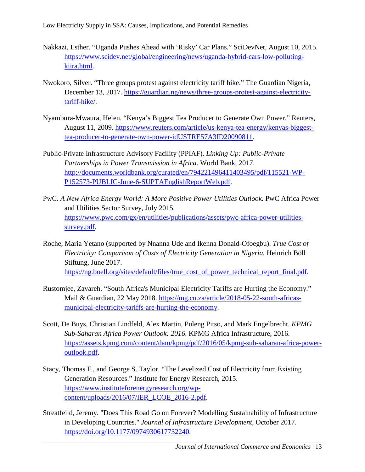Low Electricity Supply in SSA: Causes, Implications, and Potential Remedies

- Nakkazi, Esther. "Uganda Pushes Ahead with 'Risky' Car Plans." SciDevNet, August 10, 2015. [https://www.scidev.net/global/engineering/news/uganda-hybrid-cars-low-polluting](https://www.scidev.net/global/engineering/news/uganda-hybrid-cars-low-polluting-kiira.html)[kiira.html.](https://www.scidev.net/global/engineering/news/uganda-hybrid-cars-low-polluting-kiira.html)
- Nwokoro, Silver. "Three groups protest against electricity tariff hike." The Guardian Nigeria, December 13, 2017. [https://guardian.ng/news/three-groups-protest-against-electricity](https://guardian.ng/news/three-groups-protest-against-electricity-tariff-hike/)[tariff-hike/.](https://guardian.ng/news/three-groups-protest-against-electricity-tariff-hike/)
- Nyambura-Mwaura, Helen. "Kenya's Biggest Tea Producer to Generate Own Power." Reuters, August 11, 2009. [https://www.reuters.com/article/us-kenya-tea-energy/kenyas-biggest](https://www.reuters.com/article/us-kenya-tea-energy/kenyas-biggest-tea-producer-to-generate-own-power-idUSTRE57A3ID20090811)[tea-producer-to-generate-own-power-idUSTRE57A3ID20090811.](https://www.reuters.com/article/us-kenya-tea-energy/kenyas-biggest-tea-producer-to-generate-own-power-idUSTRE57A3ID20090811)
- Public-Private Infrastructure Advisory Facility (PPIAF). *Linking Up: Public-Private Partnerships in Power Transmission in Africa*. World Bank, 2017. [http://documents.worldbank.org/curated/en/794221496411403495/pdf/115521-WP-](http://documents.worldbank.org/curated/en/794221496411403495/pdf/115521-WP-P152573-PUBLIC-June-6-SUPTAEnglishReportWeb.pdf)[P152573-PUBLIC-June-6-SUPTAEnglishReportWeb.pdf.](http://documents.worldbank.org/curated/en/794221496411403495/pdf/115521-WP-P152573-PUBLIC-June-6-SUPTAEnglishReportWeb.pdf)
- PwC. *A New Africa Energy World: A More Positive Power Utilities Outlook.* PwC Africa Power and Utilities Sector Survey, July 2015. [https://www.pwc.com/gx/en/utilities/publications/assets/pwc-africa-power-utilities](https://www.pwc.com/gx/en/utilities/publications/assets/pwc-africa-power-utilities-survey.pdf)[survey.pdf.](https://www.pwc.com/gx/en/utilities/publications/assets/pwc-africa-power-utilities-survey.pdf)
- Roche, Maria Yetano (supported by Nnanna Ude and Ikenna Donald-Ofoegbu). *True Cost of Electricity: Comparison of Costs of Electricity Generation in Nigeria.* Heinrich Böll Stiftung, June 2017. [https://ng.boell.org/sites/default/files/true\\_cost\\_of\\_power\\_technical\\_report\\_final.pdf.](https://ng.boell.org/sites/default/files/true_cost_of_power_technical_report_final.pdf)
- Rustomjee, Zavareh. "South Africa's Municipal Electricity Tariffs are Hurting the Economy." Mail & Guardian, 22 May 2018. [https://mg.co.za/article/2018-05-22-south-africas](https://mg.co.za/article/2018-05-22-south-africas-municipal-electricity-tariffs-are-hurting-the-economy)[municipal-electricity-tariffs-are-hurting-the-economy.](https://mg.co.za/article/2018-05-22-south-africas-municipal-electricity-tariffs-are-hurting-the-economy)
- Scott, De Buys, Christian Lindfeld, Alex Martin, Puleng Pitso, and Mark Engelbrecht. *KPMG Sub-Saharan Africa Power Outlook: 2016*. KPMG Africa Infrastructure, 2016. [https://assets.kpmg.com/content/dam/kpmg/pdf/2016/05/kpmg-sub-saharan-africa-power](https://assets.kpmg.com/content/dam/kpmg/pdf/2016/05/kpmg-sub-saharan-africa-power-outlook.pdf)[outlook.pdf.](https://assets.kpmg.com/content/dam/kpmg/pdf/2016/05/kpmg-sub-saharan-africa-power-outlook.pdf)
- Stacy, Thomas F., and George S. Taylor. "The Levelized Cost of Electricity from Existing Generation Resources." Institute for Energy Research, 2015. [https://www.instituteforenergyresearch.org/wp](https://www.instituteforenergyresearch.org/wp-content/uploads/2016/07/IER_LCOE_2016-2.pdf)[content/uploads/2016/07/IER\\_LCOE\\_2016-2.pdf.](https://www.instituteforenergyresearch.org/wp-content/uploads/2016/07/IER_LCOE_2016-2.pdf)
- Streatfeild, Jeremy. "Does This Road Go on Forever? Modelling Sustainability of Infrastructure in Developing Countries." *Journal of Infrastructure Development*, October 2017. [https://doi.org/10.1177/0974930617732240.](https://doi.org/10.1177/0974930617732240)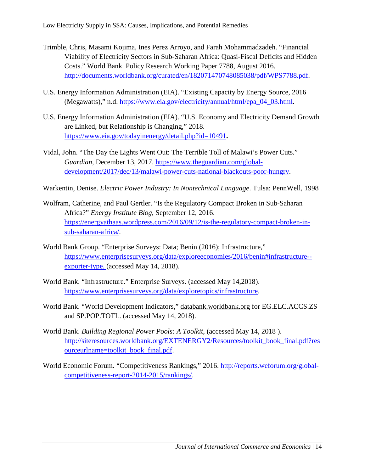- Trimble, Chris, Masami Kojima, Ines Perez Arroyo, and Farah Mohammadzadeh. "Financial Viability of Electricity Sectors in Sub-Saharan Africa: Quasi-Fiscal Deficits and Hidden Costs." World Bank. Policy Research Working Paper 7788, August 2016. [http://documents.worldbank.org/curated/en/182071470748085038/pdf/WPS7788.pdf.](http://documents.worldbank.org/curated/en/182071470748085038/pdf/WPS7788.pdf)
- U.S. Energy Information Administration (EIA). "Existing Capacity by Energy Source, 2016 (Megawatts)," n.d. [https://www.eia.gov/electricity/annual/html/epa\\_04\\_03.html.](https://www.eia.gov/electricity/annual/html/epa_04_03.html)
- U.S. Energy Information Administration (EIA). "U.S. Economy and Electricity Demand Growth are Linked, but Relationship is Changing," 2018. <https://www.eia.gov/todayinenergy/detail.php?id=10491>**.**
- Vidal, John. "The Day the Lights Went Out: The Terrible Toll of Malawi's Power Cuts." *Guardian*, December 13, 2017. [https://www.theguardian.com/global](https://www.theguardian.com/global-development/2017/dec/13/malawi-power-cuts-national-blackouts-poor-hungry)[development/2017/dec/13/malawi-power-cuts-national-blackouts-poor-hungry.](https://www.theguardian.com/global-development/2017/dec/13/malawi-power-cuts-national-blackouts-poor-hungry)

Warkentin, Denise. *Electric Power Industry: In Nontechnical Language*. Tulsa: PennWell, 1998

- Wolfram, Catherine, and Paul Gertler. "Is the Regulatory Compact Broken in Sub-Saharan Africa?" *Energy Institute Blog*, September 12, 2016. [https://energyathaas.wordpress.com/2016/09/12/is-the-regulatory-compact-broken-in](https://energyathaas.wordpress.com/2016/09/12/is-the-regulatory-compact-broken-in-sub-saharan-africa/)[sub-saharan-africa/.](https://energyathaas.wordpress.com/2016/09/12/is-the-regulatory-compact-broken-in-sub-saharan-africa/)
- World Bank Group. "Enterprise Surveys: Data; Benin (2016); Infrastructure," [https://www.enterprisesurveys.org/data/exploreeconomies/2016/benin#infrastructure-](https://www.enterprisesurveys.org/data/exploreeconomies/2016/benin#infrastructure--exporter-type) [exporter-type.](https://www.enterprisesurveys.org/data/exploreeconomies/2016/benin#infrastructure--exporter-type) (accessed May 14, 2018).
- World Bank. "Infrastructure." Enterprise Surveys. (accessed May 14,2018). [https://www.enterprisesurveys.org/data/exploretopics/infrastructure.](https://www.enterprisesurveys.org/data/exploretopics/infrastructure)
- World Bank. "World Development Indicators," databank.worldbank.org for EG.ELC.ACCS.ZS and SP.POP.TOTL. (accessed May 14, 2018).
- World Bank. *Building Regional Power Pools: A Toolkit*, (accessed May 14, 2018 ). [http://siteresources.worldbank.org/EXTENERGY2/Resources/toolkit\\_book\\_final.pdf?res](http://siteresources.worldbank.org/EXTENERGY2/Resources/toolkit_book_final.pdf?resourceurlname=toolkit_book_final.pdf) [ourceurlname=toolkit\\_book\\_final.pdf.](http://siteresources.worldbank.org/EXTENERGY2/Resources/toolkit_book_final.pdf?resourceurlname=toolkit_book_final.pdf)
- World Economic Forum. "Competitiveness Rankings," 2016. [http://reports.weforum.org/global](http://reports.weforum.org/global-competitiveness-report-2014-2015/rankings/)[competitiveness-report-2014-2015/rankings/.](http://reports.weforum.org/global-competitiveness-report-2014-2015/rankings/)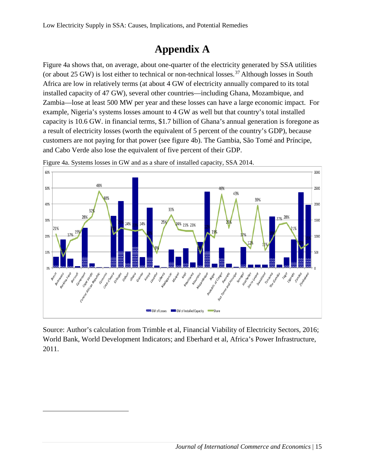## **Appendix A**

Figure 4a shows that, on average, about one-quarter of the electricity generated by SSA utilities (or about 25 GW) is lost either to technical or non-technical losses.<sup>[37](#page-14-0)</sup> Although losses in South Africa are low in relatively terms (at about 4 GW of electricity annually compared to its total installed capacity of 47 GW), several other countries—including Ghana, Mozambique, and Zambia—lose at least 500 MW per year and these losses can have a large economic impact. For example, Nigeria's systems losses amount to 4 GW as well but that country's total installed capacity is 10.6 GW. in financial terms, \$1.7 billion of Ghana's annual generation is foregone as a result of electricity losses (worth the equivalent of 5 percent of the country's GDP), because customers are not paying for that power (see figure 4b). The Gambia, São Tomé and Príncipe, and Cabo Verde also lose the equivalent of five percent of their GDP.



Figure 4a. Systems losses in GW and as a share of installed capacity, SSA 2014.

Source: Author's calculation from Trimble et al, Financial Viability of Electricity Sectors, 2016; World Bank, World Development Indicators; and Eberhard et al, Africa's Power Infrastructure, 2011.

<span id="page-14-0"></span> $\overline{a}$